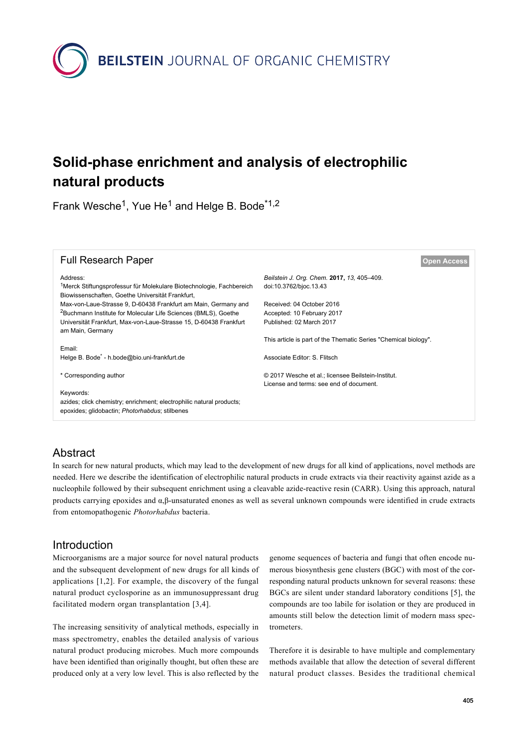

# **Solid-phase enrichment and analysis of electrophilic natural products**

Frank Wesche<sup>1</sup>, Yue He<sup>1</sup> and Helge B. Bode<sup>\*1,2</sup>

| <b>Full Research Paper</b>                                                                                                           | <b>Open Access</b>                                              |
|--------------------------------------------------------------------------------------------------------------------------------------|-----------------------------------------------------------------|
| Address:                                                                                                                             | Beilstein J. Org. Chem. 2017, 13, 405-409.                      |
| <sup>1</sup> Merck Stiftungsprofessur für Molekulare Biotechnologie, Fachbereich<br>Biowissenschaften, Goethe Universität Frankfurt, | doi:10.3762/bjoc.13.43                                          |
| Max-von-Laue-Strasse 9, D-60438 Frankfurt am Main, Germany and                                                                       | Received: 04 October 2016                                       |
| <sup>2</sup> Buchmann Institute for Molecular Life Sciences (BMLS), Goethe                                                           | Accepted: 10 February 2017                                      |
| Universität Frankfurt, Max-von-Laue-Strasse 15, D-60438 Frankfurt<br>am Main, Germany                                                | Published: 02 March 2017                                        |
|                                                                                                                                      | This article is part of the Thematic Series "Chemical biology". |
| Email:                                                                                                                               |                                                                 |
| Helge B. Bode <sup>*</sup> - h.bode@bio.uni-frankfurt.de                                                                             | Associate Editor: S. Flitsch                                    |
| * Corresponding author                                                                                                               | © 2017 Wesche et al.; licensee Beilstein-Institut.              |
|                                                                                                                                      | License and terms: see end of document.                         |
| Keywords:                                                                                                                            |                                                                 |
| azides; click chemistry; enrichment; electrophilic natural products;<br>epoxides; glidobactin; Photorhabdus; stilbenes               |                                                                 |
|                                                                                                                                      |                                                                 |

## **Abstract**

In search for new natural products, which may lead to the development of new drugs for all kind of applications, novel methods are needed. Here we describe the identification of electrophilic natural products in crude extracts via their reactivity against azide as a nucleophile followed by their subsequent enrichment using a cleavable azide-reactive resin (CARR). Using this approach, natural products carrying epoxides and α,β-unsaturated enones as well as several unknown compounds were identified in crude extracts from entomopathogenic *Photorhabdus* bacteria.

## Introduction

Microorganisms are a major source for novel natural products and the subsequent development of new drugs for all kinds of applications [\[1,2\]](#page-4-0). For example, the discovery of the fungal natural product cyclosporine as an immunosuppressant drug facilitated modern organ transplantation [\[3,4\]](#page-4-1).

The increasing sensitivity of analytical methods, especially in mass spectrometry, enables the detailed analysis of various natural product producing microbes. Much more compounds have been identified than originally thought, but often these are produced only at a very low level. This is also reflected by the

genome sequences of bacteria and fungi that often encode numerous biosynthesis gene clusters (BGC) with most of the corresponding natural products unknown for several reasons: these BGCs are silent under standard laboratory conditions [\[5\]](#page-4-2), the compounds are too labile for isolation or they are produced in amounts still below the detection limit of modern mass spectrometers.

Therefore it is desirable to have multiple and complementary methods available that allow the detection of several different natural product classes. Besides the traditional chemical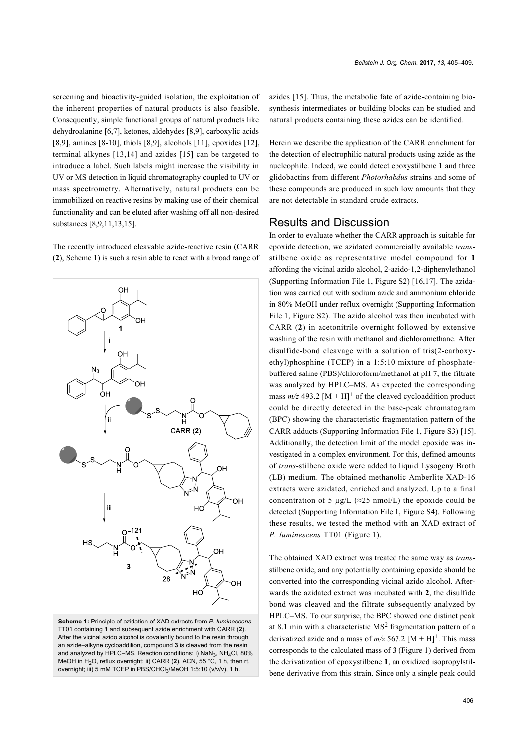screening and bioactivity-guided isolation, the exploitation of the inherent properties of natural products is also feasible. Consequently, simple functional groups of natural products like dehydroalanine [\[6,7\],](#page-4-3) ketones, aldehydes [\[8,9\],](#page-4-4) carboxylic acids [\[8,9\]](#page-4-4), amines [\[8-10\]](#page-4-4), thiols [\[8,9\]](#page-4-4), alcohols [\[11\]](#page-4-5), epoxides [\[12\]](#page-4-6), terminal alkynes [\[13,14\]](#page-4-7) and azides [\[15\]](#page-4-8) can be targeted to introduce a label. Such labels might increase the visibility in UV or MS detection in liquid chromatography coupled to UV or mass spectrometry. Alternatively, natural products can be immobilized on reactive resins by making use of their chemical functionality and can be eluted after washing off all non-desired substances [\[8,9,11,13,15\].](#page-4-4)

The recently introduced cleavable azide-reactive resin (CARR (**2**), [Scheme 1\)](#page-1-0) is such a resin able to react with a broad range of

<span id="page-1-0"></span>

**Scheme 1:** Principle of azidation of XAD extracts from *P. luminescens* TT01 containing **1** and subsequent azide enrichment with CARR (**2**). After the vicinal azido alcohol is covalently bound to the resin through an azide–alkyne cycloaddition, compound **3** is cleaved from the resin and analyzed by HPLC–MS. Reaction conditions: i)  $\textsf{NaN}_3$ ,  $\textsf{NH}_4\textsf{Cl}$ , 80% MeOH in H2O, reflux overnight; ii) CARR (**2**), ACN, 55 °C, 1 h, then rt, overnight; iii) 5 mM TCEP in PBS/CHCl<sub>3</sub>/MeOH 1:5:10 (v/v/v), 1 h.

azides [\[15\]](#page-4-8). Thus, the metabolic fate of azide-containing biosynthesis intermediates or building blocks can be studied and natural products containing these azides can be identified.

Herein we describe the application of the CARR enrichment for the detection of electrophilic natural products using azide as the nucleophile. Indeed, we could detect epoxystilbene **1** and three glidobactins from different *Photorhabdus* strains and some of these compounds are produced in such low amounts that they are not detectable in standard crude extracts.

#### Results and Discussion

In order to evaluate whether the CARR approach is suitable for epoxide detection, we azidated commercially available *trans*stilbene oxide as representative model compound for **1** affording the vicinal azido alcohol, 2-azido-1,2-diphenylethanol ([Supporting Information File 1,](#page-4-9) Figure S2) [\[16,17\]](#page-4-10). The azidation was carried out with sodium azide and ammonium chloride in 80% MeOH under reflux overnight ([Supporting Information](#page-4-9) [File 1](#page-4-9), Figure S2). The azido alcohol was then incubated with CARR (**2**) in acetonitrile overnight followed by extensive washing of the resin with methanol and dichloromethane. After disulfide-bond cleavage with a solution of tris(2-carboxyethyl)phosphine (TCEP) in a 1:5:10 mixture of phosphatebuffered saline (PBS)/chloroform/methanol at pH 7, the filtrate was analyzed by HPLC–MS. As expected the corresponding mass  $m/z$  493.2  $[M + H]$ <sup>+</sup> of the cleaved cycloaddition product could be directly detected in the base-peak chromatogram (BPC) showing the characteristic fragmentation pattern of the CARR adducts ([Supporting Information File 1](#page-4-9), Figure S3) [\[15\]](#page-4-8). Additionally, the detection limit of the model epoxide was investigated in a complex environment. For this, defined amounts of *trans*-stilbene oxide were added to liquid Lysogeny Broth (LB) medium. The obtained methanolic Amberlite XAD-16 extracts were azidated, enriched and analyzed. Up to a final concentration of 5 µg/L ( $\approx$ 25 nmol/L) the epoxide could be detected [\(Supporting Information File 1,](#page-4-9) Figure S4). Following these results, we tested the method with an XAD extract of *P. luminescens* TT01 ([Figure 1](#page-2-0)).

The obtained XAD extract was treated the same way as *trans*stilbene oxide, and any potentially containing epoxide should be converted into the corresponding vicinal azido alcohol. Afterwards the azidated extract was incubated with **2**, the disulfide bond was cleaved and the filtrate subsequently analyzed by HPLC–MS. To our surprise, the BPC showed one distinct peak at 8.1 min with a characteristic  $MS<sup>2</sup>$  fragmentation pattern of a derivatized azide and a mass of  $m/z$  567.2  $[M + H]^{+}$ . This mass corresponds to the calculated mass of **3** [\(Figure 1\)](#page-2-0) derived from the derivatization of epoxystilbene **1**, an oxidized isopropylstilbene derivative from this strain. Since only a single peak could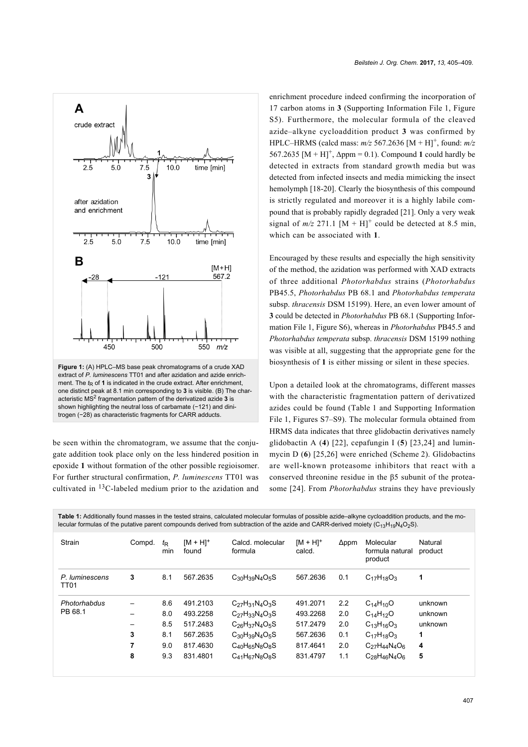<span id="page-2-0"></span>

one distinct peak at 8.1 min corresponding to **3** is visible. (B) The characteristic MS<sup>2</sup> fragmentation pattern of the derivatized azide 3 is shown highlighting the neutral loss of carbamate (-121) and dinitrogen (−28) as characteristic fragments for CARR adducts.

be seen within the chromatogram, we assume that the conjugate addition took place only on the less hindered position in epoxide **1** without formation of the other possible regioisomer. For further structural confirmation, *P. luminescens* TT01 was cultivated in  ${}^{13}$ C-labeled medium prior to the azidation and

enrichment procedure indeed confirming the incorporation of 17 carbon atoms in **3** ([Supporting Information File 1](#page-4-9), Figure S5). Furthermore, the molecular formula of the cleaved azide–alkyne cycloaddition product **3** was confirmed by HPLC–HRMS (calcd mass: *m/z* 567.2636 [M + H]<sup>+</sup> , found: *m/z* 567.2635  $[M + H]^+$ ,  $\Delta$ ppm = 0.1). Compound 1 could hardly be detected in extracts from standard growth media but was detected from infected insects and media mimicking the insect hemolymph [\[18-20\].](#page-4-11) Clearly the biosynthesis of this compound is strictly regulated and moreover it is a highly labile compound that is probably rapidly degraded [\[21\]](#page-4-12). Only a very weak signal of  $m/z$  271.1  $[M + H]$ <sup>+</sup> could be detected at 8.5 min, which can be associated with **1**.

Encouraged by these results and especially the high sensitivity of the method, the azidation was performed with XAD extracts of three additional *Photorhabdus* strains (*Photorhabdus* PB45.5, *Photorhabdus* PB 68.1 and *Photorhabdus temperata* subsp. *thracensis* DSM 15199). Here, an even lower amount of **3** could be detected in *Photorhabdus* PB 68.1 [\(Supporting Infor](#page-4-9)[mation File 1,](#page-4-9) Figure S6), whereas in *Photorhabdus* PB45.5 and *Photorhabdus temperata* subsp. *thracensis* DSM 15199 nothing was visible at all, suggesting that the appropriate gene for the biosynthesis of **1** is either missing or silent in these species.

Upon a detailed look at the chromatograms, different masses with the characteristic fragmentation pattern of derivatized azides could be found ([Table 1](#page-2-1) and [Supporting Information](#page-4-9) [File 1](#page-4-9), Figures S7–S9). The molecular formula obtained from HRMS data indicates that three glidobactin derivatives namely glidobactin A (**4**) [\[22\]](#page-4-13), cepafungin I (**5**) [\[23,24\]](#page-4-14) and luminmycin D (**6**) [\[25,26\]](#page-4-15) were enriched ([Scheme 2](#page-3-0)). Glidobactins are well-known proteasome inhibitors that react with a conserved threonine residue in the β5 subunit of the proteasome [\[24\]](#page-4-16). From *Photorhabdus* strains they have previously

<span id="page-2-1"></span>

| Table 1: Additionally found masses in the tested strains, calculated molecular formulas of possible azide–alkyne cycloaddition products, and the mo-<br>lecular formulas of the putative parent compounds derived from subtraction of the azide and CARR-derived moiety ( $C_1AH_1\Omega_0A_0$ S). |             |                                        |                                                                      |                                                                                                                                                        |                                                                      |                                        |                                                                                                                                      |                                              |
|----------------------------------------------------------------------------------------------------------------------------------------------------------------------------------------------------------------------------------------------------------------------------------------------------|-------------|----------------------------------------|----------------------------------------------------------------------|--------------------------------------------------------------------------------------------------------------------------------------------------------|----------------------------------------------------------------------|----------------------------------------|--------------------------------------------------------------------------------------------------------------------------------------|----------------------------------------------|
| Strain                                                                                                                                                                                                                                                                                             | Compd.      | t <sub>R</sub><br>min                  | $[M + H]^{+}$<br>found                                               | Calcd, molecular<br>formula                                                                                                                            | $IM + HI^+$<br>calcd.                                                | $\Delta$ ppm                           | Molecular<br>formula natural<br>product                                                                                              | Natural<br>product                           |
| P. luminescens<br>TT <sub>01</sub>                                                                                                                                                                                                                                                                 | 3           | 8.1                                    | 567.2635                                                             | $C_{30}H_{39}N_4O_5S$                                                                                                                                  | 567.2636                                                             | 0.1                                    | $C_{17}H_{18}O_3$                                                                                                                    | 1                                            |
| Photorhabdus<br>PB 68.1                                                                                                                                                                                                                                                                            | 3<br>7<br>8 | 8.6<br>8.0<br>8.5<br>8.1<br>9.0<br>9.3 | 491.2103<br>493.2258<br>517.2483<br>567.2635<br>817.4630<br>831.4801 | $C_{27}H_{31}N_4O_3S$<br>$C_{27}H_{33}N_4O_3S$<br>$C_{26}H_{37}N_{4}O_{5}S$<br>$C_{30}H_{39}N_4O_5S$<br>$C_{40}H_{65}N_8O_8S$<br>$C_{41}H_{67}N_8O_8S$ | 491.2071<br>493.2268<br>517.2479<br>567.2636<br>817.4641<br>831.4797 | 2.2<br>2.0<br>2.0<br>0.1<br>2.0<br>1.1 | $C_{14}H_{10}O$<br>$C_{14}H_{12}O$<br>$C_{13}H_{16}O_3$<br>$C_{17}H_{18}O_3$<br>$C_{27}H_{44}N_{4}O_{6}$<br>$C_{28}H_{46}N_{4}O_{6}$ | unknown<br>unknown<br>unknown<br>1<br>4<br>5 |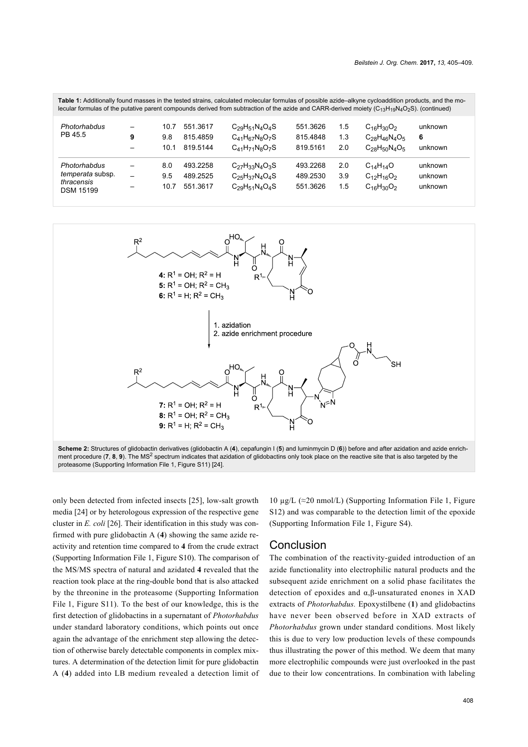| Table 1: Additionally found masses in the tested strains, calculated molecular formulas of possible azide–alkyne cycloaddition products, and the mo-<br>lecular formulas of the putative parent compounds derived from subtraction of the azide and CARR-derived moiety ( $C_{13}H_{10}N_4O_2S$ ). (continued) |   |                     |                                  |                                                                         |                                  |                   |                                                                           |                               |
|----------------------------------------------------------------------------------------------------------------------------------------------------------------------------------------------------------------------------------------------------------------------------------------------------------------|---|---------------------|----------------------------------|-------------------------------------------------------------------------|----------------------------------|-------------------|---------------------------------------------------------------------------|-------------------------------|
| Photorhabdus<br>PB 45.5                                                                                                                                                                                                                                                                                        | 9 | 10.7<br>9.8<br>10.1 | 551.3617<br>815 4859<br>819.5144 | $C_{29}H_{51}N_4O_4S$<br>$C_{41}H_{67}N_8O_7S$<br>$C_{41}H_{71}N_8O_7S$ | 551.3626<br>815.4848<br>819.5161 | 1.5<br>1.3<br>2.0 | $C_{16}H_{30}O_2$<br>$C_{28}H_{46}N_{4}O_{5}$<br>$C_{28}H_{50}N_{4}O_{5}$ | unknown<br>6<br>unknown       |
| Photorhabdus<br><i>temperata</i> subsp.<br>thracensis<br><b>DSM 15199</b>                                                                                                                                                                                                                                      |   | 8.0<br>9.5<br>10.7  | 493 2258<br>489.2525<br>551.3617 | $C_{27}H_{33}N_4O_3S$<br>$C_{25}H_{37}N_4O_4S$<br>$C_{29}H_{51}N_4O_4S$ | 493.2268<br>489.2530<br>551.3626 | 2.0<br>3.9<br>1.5 | $C_{14}H_{14}O$<br>$C_{12}H_{16}O_2$<br>$C_{16}H_{30}O_2$                 | unknown<br>unknown<br>unknown |

<span id="page-3-0"></span>

only been detected from infected insects [\[25\]](#page-4-15), low-salt growth media [\[24\]](#page-4-16) or by heterologous expression of the respective gene cluster in *E. coli* [\[26\].](#page-4-17) Their identification in this study was confirmed with pure glidobactin A (**4**) showing the same azide reactivity and retention time compared to **4** from the crude extract ([Supporting Information File 1](#page-4-9), Figure S10). The comparison of the MS/MS spectra of natural and azidated **4** revealed that the reaction took place at the ring-double bond that is also attacked by the threonine in the proteasome ([Supporting Information](#page-4-9) [File 1](#page-4-9), Figure S11). To the best of our knowledge, this is the first detection of glidobactins in a supernatant of *Photorhabdus* under standard laboratory conditions, which points out once again the advantage of the enrichment step allowing the detection of otherwise barely detectable components in complex mixtures. A determination of the detection limit for pure glidobactin A (**4**) added into LB medium revealed a detection limit of

10 μg/L ( $\approx$ 20 nmol/L) [\(Supporting Information File 1](#page-4-9), Figure S12) and was comparable to the detection limit of the epoxide ([Supporting Information File 1](#page-4-9), Figure S4).

#### Conclusion

The combination of the reactivity-guided introduction of an azide functionality into electrophilic natural products and the subsequent azide enrichment on a solid phase facilitates the detection of epoxides and α,β-unsaturated enones in XAD extracts of *Photorhabdus.* Epoxystilbene (**1**) and glidobactins have never been observed before in XAD extracts of *Photorhabdus* grown under standard conditions. Most likely this is due to very low production levels of these compounds thus illustrating the power of this method. We deem that many more electrophilic compounds were just overlooked in the past due to their low concentrations. In combination with labeling